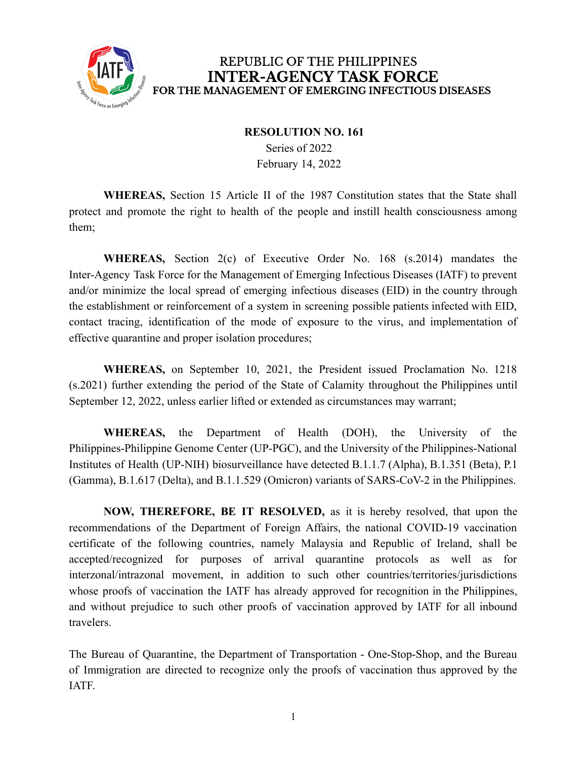

## REPUBLIC OF THE PHILIPPINES **INTER-AGENCY TASK FORCE** FOR THE MANAGEMENT OF EMERGING INFECTIOUS DISEASES

## **RESOLUTION NO. 161**

Series of 2022 February 14, 2022

**WHEREAS,** Section 15 Article II of the 1987 Constitution states that the State shall protect and promote the right to health of the people and instill health consciousness among them;

**WHEREAS,** Section 2(c) of Executive Order No. 168 (s.2014) mandates the Inter-Agency Task Force for the Management of Emerging Infectious Diseases (IATF) to prevent and/or minimize the local spread of emerging infectious diseases (EID) in the country through the establishment or reinforcement of a system in screening possible patients infected with EID, contact tracing, identification of the mode of exposure to the virus, and implementation of effective quarantine and proper isolation procedures;

**WHEREAS,** on September 10, 2021, the President issued Proclamation No. 1218 (s.2021) further extending the period of the State of Calamity throughout the Philippines until September 12, 2022, unless earlier lifted or extended as circumstances may warrant;

**WHEREAS,** the Department of Health (DOH), the University of the Philippines-Philippine Genome Center (UP-PGC), and the University of the Philippines-National Institutes of Health (UP-NIH) biosurveillance have detected B.1.1.7 (Alpha), B.1.351 (Beta), P.1 (Gamma), B.1.617 (Delta), and B.1.1.529 (Omicron) variants of SARS-CoV-2 in the Philippines.

**NOW, THEREFORE, BE IT RESOLVED,** as it is hereby resolved, that upon the recommendations of the Department of Foreign Affairs, the national COVID-19 vaccination certificate of the following countries, namely Malaysia and Republic of Ireland, shall be accepted/recognized for purposes of arrival quarantine protocols as well as for interzonal/intrazonal movement, in addition to such other countries/territories/jurisdictions whose proofs of vaccination the IATF has already approved for recognition in the Philippines, and without prejudice to such other proofs of vaccination approved by IATF for all inbound travelers.

The Bureau of Quarantine, the Department of Transportation - One-Stop-Shop, and the Bureau of Immigration are directed to recognize only the proofs of vaccination thus approved by the IATF.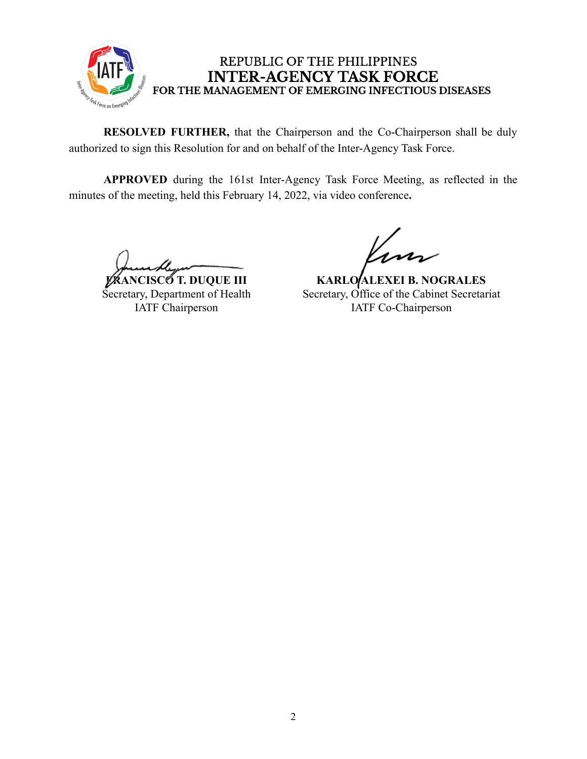

## REPUBLIC OF THE PHILIPPINES **INTER-AGENCY TASK FORCE** FOR THE MANAGEMENT OF EMERGING INFECTIOUS DISEASES

**RESOLVED FURTHER,** that the Chairperson and the Co-Chairperson shall be duly authorized to sign this Resolution for and on behalf of the Inter-Agency Task Force.

**APPROVED** during the 161st Inter-Agency Task Force Meeting, as reflected in the minutes of the meeting, held this February 14, 2022, via video conference**.**

**FRANCISCO T. DUQUE III** Secretary, Department of Health IATF Chairperson

**KARLO ALEXEI B. NOGRALES** Secretary, Office of the Cabinet Secretariat IATF Co-Chairperson